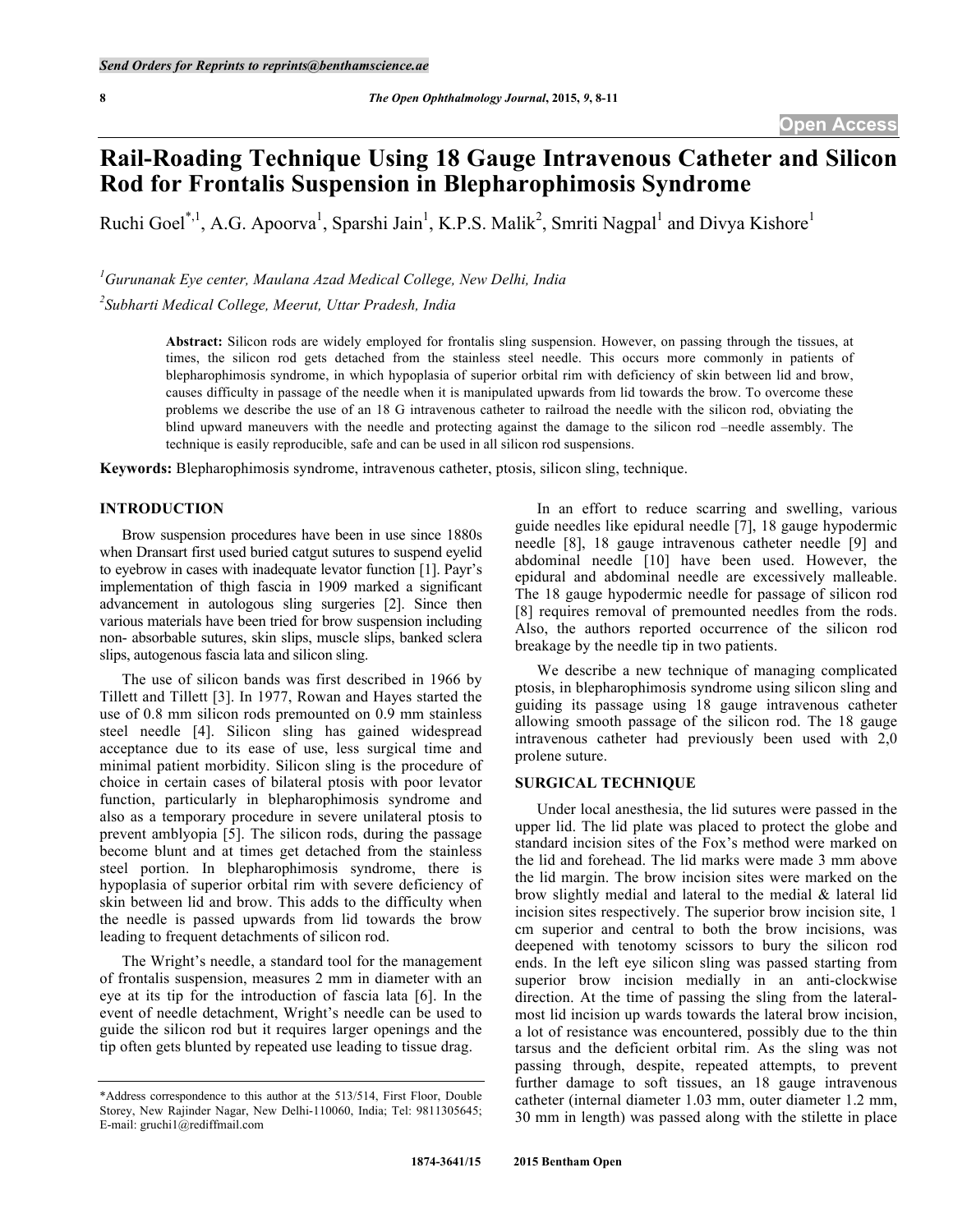# **Rail-Roading Technique Using 18 Gauge Intravenous Catheter and Silicon Rod for Frontalis Suspension in Blepharophimosis Syndrome**

Ruchi Goel<sup>\*,1</sup>, A.G. Apoorva<sup>1</sup>, Sparshi Jain<sup>1</sup>, K.P.S. Malik<sup>2</sup>, Smriti Nagpal<sup>1</sup> and Divya Kishore<sup>1</sup>

*1 Gurunanak Eye center, Maulana Azad Medical College, New Delhi, India*

*2 Subharti Medical College, Meerut, Uttar Pradesh, India*

**Abstract:** Silicon rods are widely employed for frontalis sling suspension. However, on passing through the tissues, at times, the silicon rod gets detached from the stainless steel needle. This occurs more commonly in patients of blepharophimosis syndrome, in which hypoplasia of superior orbital rim with deficiency of skin between lid and brow, causes difficulty in passage of the needle when it is manipulated upwards from lid towards the brow. To overcome these problems we describe the use of an 18 G intravenous catheter to railroad the needle with the silicon rod, obviating the blind upward maneuvers with the needle and protecting against the damage to the silicon rod –needle assembly. The technique is easily reproducible, safe and can be used in all silicon rod suspensions.

**Keywords:** Blepharophimosis syndrome, intravenous catheter, ptosis, silicon sling, technique.

## **INTRODUCTION**

Brow suspension procedures have been in use since 1880s when Dransart first used buried catgut sutures to suspend eyelid to eyebrow in cases with inadequate levator function [1]. Payr's implementation of thigh fascia in 1909 marked a significant advancement in autologous sling surgeries [2]. Since then various materials have been tried for brow suspension including non- absorbable sutures, skin slips, muscle slips, banked sclera slips, autogenous fascia lata and silicon sling.

The use of silicon bands was first described in 1966 by Tillett and Tillett [3]. In 1977, Rowan and Hayes started the use of 0.8 mm silicon rods premounted on 0.9 mm stainless steel needle [4]. Silicon sling has gained widespread acceptance due to its ease of use, less surgical time and minimal patient morbidity. Silicon sling is the procedure of choice in certain cases of bilateral ptosis with poor levator function, particularly in blepharophimosis syndrome and also as a temporary procedure in severe unilateral ptosis to prevent amblyopia [5]. The silicon rods, during the passage become blunt and at times get detached from the stainless steel portion. In blepharophimosis syndrome, there is hypoplasia of superior orbital rim with severe deficiency of skin between lid and brow. This adds to the difficulty when the needle is passed upwards from lid towards the brow leading to frequent detachments of silicon rod.

The Wright's needle, a standard tool for the management of frontalis suspension, measures 2 mm in diameter with an eye at its tip for the introduction of fascia lata [6]. In the event of needle detachment, Wright's needle can be used to guide the silicon rod but it requires larger openings and the tip often gets blunted by repeated use leading to tissue drag.

In an effort to reduce scarring and swelling, various guide needles like epidural needle [7], 18 gauge hypodermic needle [8], 18 gauge intravenous catheter needle [9] and abdominal needle [10] have been used. However, the epidural and abdominal needle are excessively malleable. The 18 gauge hypodermic needle for passage of silicon rod [8] requires removal of premounted needles from the rods. Also, the authors reported occurrence of the silicon rod breakage by the needle tip in two patients.

We describe a new technique of managing complicated ptosis, in blepharophimosis syndrome using silicon sling and guiding its passage using 18 gauge intravenous catheter allowing smooth passage of the silicon rod. The 18 gauge intravenous catheter had previously been used with 2,0 prolene suture.

# **SURGICAL TECHNIQUE**

Under local anesthesia, the lid sutures were passed in the upper lid. The lid plate was placed to protect the globe and standard incision sites of the Fox's method were marked on the lid and forehead. The lid marks were made 3 mm above the lid margin. The brow incision sites were marked on the brow slightly medial and lateral to the medial & lateral lid incision sites respectively. The superior brow incision site, 1 cm superior and central to both the brow incisions, was deepened with tenotomy scissors to bury the silicon rod ends. In the left eye silicon sling was passed starting from superior brow incision medially in an anti-clockwise direction. At the time of passing the sling from the lateralmost lid incision up wards towards the lateral brow incision, a lot of resistance was encountered, possibly due to the thin tarsus and the deficient orbital rim. As the sling was not passing through, despite, repeated attempts, to prevent further damage to soft tissues, an 18 gauge intravenous catheter (internal diameter 1.03 mm, outer diameter 1.2 mm, 30 mm in length) was passed along with the stilette in place

<sup>\*</sup>Address correspondence to this author at the 513/514, First Floor, Double Storey, New Rajinder Nagar, New Delhi-110060, India; Tel: 9811305645; E-mail: gruchi1@rediffmail.com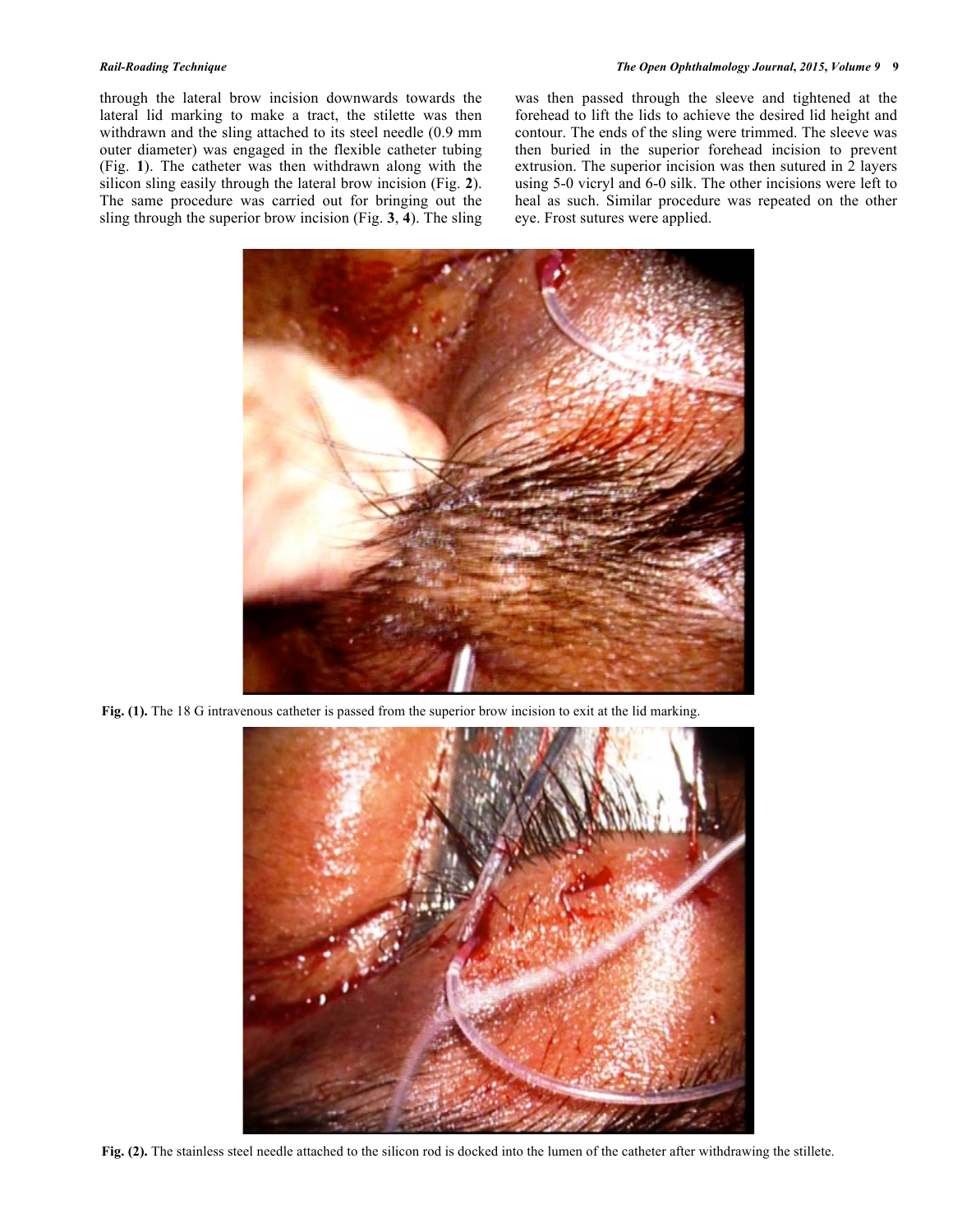through the lateral brow incision downwards towards the lateral lid marking to make a tract, the stilette was then withdrawn and the sling attached to its steel needle (0.9 mm outer diameter) was engaged in the flexible catheter tubing (Fig. **1**). The catheter was then withdrawn along with the silicon sling easily through the lateral brow incision (Fig. **2**). The same procedure was carried out for bringing out the sling through the superior brow incision (Fig. **3**, **4**). The sling was then passed through the sleeve and tightened at the forehead to lift the lids to achieve the desired lid height and contour. The ends of the sling were trimmed. The sleeve was then buried in the superior forehead incision to prevent extrusion. The superior incision was then sutured in 2 layers using 5-0 vicryl and 6-0 silk. The other incisions were left to heal as such. Similar procedure was repeated on the other eye. Frost sutures were applied.



**Fig. (1).** The 18 G intravenous catheter is passed from the superior brow incision to exit at the lid marking.



**Fig. (2).** The stainless steel needle attached to the silicon rod is docked into the lumen of the catheter after withdrawing the stillete.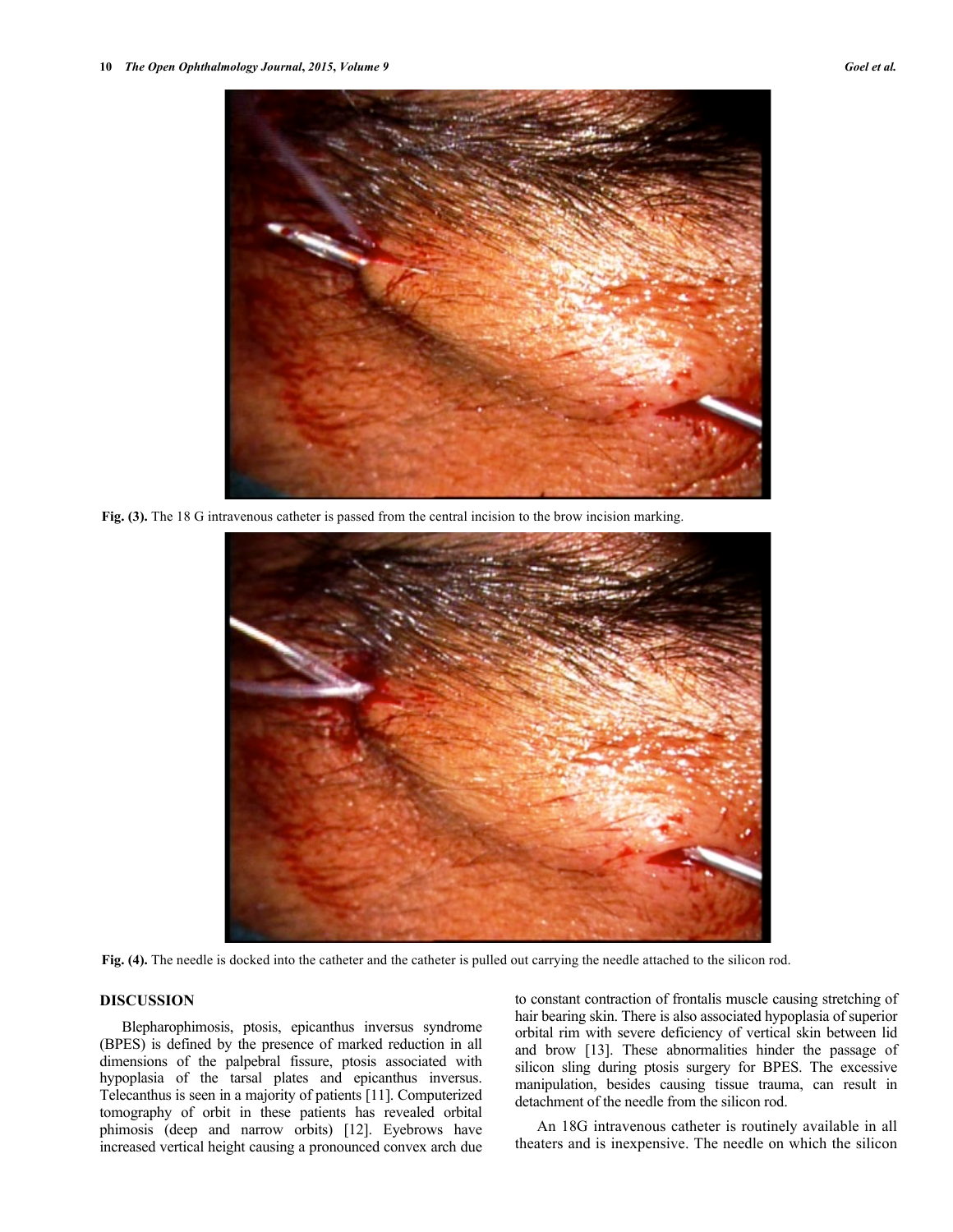

**Fig. (3).** The 18 G intravenous catheter is passed from the central incision to the brow incision marking.



**Fig. (4).** The needle is docked into the catheter and the catheter is pulled out carrying the needle attached to the silicon rod.

# **DISCUSSION**

Blepharophimosis, ptosis, epicanthus inversus syndrome (BPES) is defined by the presence of marked reduction in all dimensions of the palpebral fissure, ptosis associated with hypoplasia of the tarsal plates and epicanthus inversus. Telecanthus is seen in a majority of patients [11]. Computerized tomography of orbit in these patients has revealed orbital phimosis (deep and narrow orbits) [12]. Eyebrows have increased vertical height causing a pronounced convex arch due to constant contraction of frontalis muscle causing stretching of hair bearing skin. There is also associated hypoplasia of superior orbital rim with severe deficiency of vertical skin between lid and brow [13]. These abnormalities hinder the passage of silicon sling during ptosis surgery for BPES. The excessive manipulation, besides causing tissue trauma, can result in detachment of the needle from the silicon rod.

An 18G intravenous catheter is routinely available in all theaters and is inexpensive. The needle on which the silicon